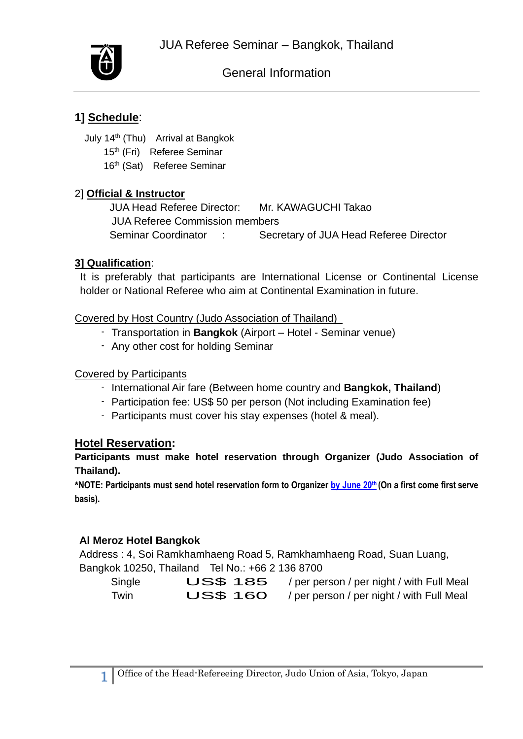

# General Information

# **1] Schedule**:

July 14th (Thu) Arrival at Bangkok

- 15<sup>th</sup> (Fri) Referee Seminar
- 16<sup>th</sup> (Sat) Referee Seminar

# 2] **Official & Instructor**

 JUA Head Referee Director: Mr. KAWAGUCHI Takao JUA Referee Commission members Seminar Coordinator : Secretary of JUA Head Referee Director

# **3] Qualification**:

It is preferably that participants are International License or Continental License holder or National Referee who aim at Continental Examination in future.

#### Covered by Host Country (Judo Association of Thailand)

- Transportation in **Bangkok** (Airport Hotel Seminar venue)
- Any other cost for holding Seminar

### Covered by Participants

- International Air fare (Between home country and **Bangkok, Thailand**)
- Participation fee: US\$ 50 per person (Not including Examination fee)
- Participants must cover his stay expenses (hotel & meal).

# **Hotel Reservation:**

**Participants must make hotel reservation through Organizer (Judo Association of Thailand).**

**\*NOTE: Participants must send hotel reservation form to Organizer by June 20 th (On a first come first serve basis).**

# **Al Meroz Hotel Bangkok**

Address : 4, Soi Ramkhamhaeng Road 5, Ramkhamhaeng Road, Suan Luang,

|        | Bangkok 10250, Thailand Tel No.: +66 2 136 8700 |                                                    |
|--------|-------------------------------------------------|----------------------------------------------------|
| Single |                                                 | US\$ 185 / per person / per night / with Full Meal |
| Twin   | <b>US\$ 160</b>                                 | / per person / per night / with Full Meal          |